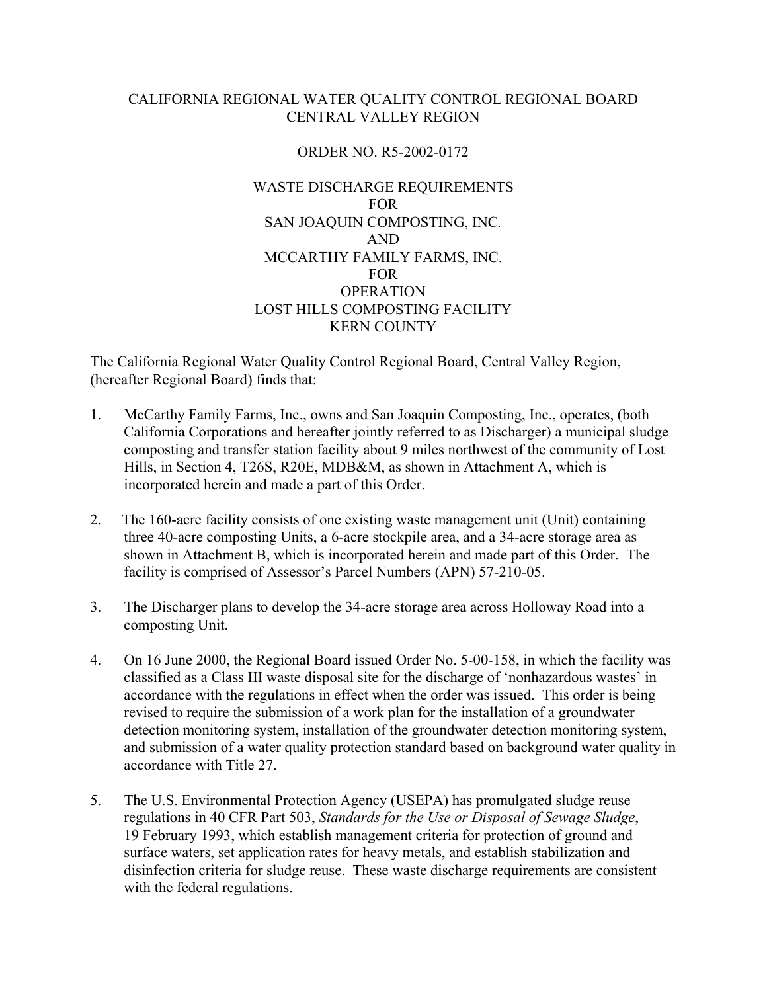### CALIFORNIA REGIONAL WATER QUALITY CONTROL REGIONAL BOARD CENTRAL VALLEY REGION

#### ORDER NO. R5-2002-0172

### WASTE DISCHARGE REQUIREMENTS FOR SAN JOAQUIN COMPOSTING, INC*.*  AND MCCARTHY FAMILY FARMS, INC. FOR **OPERATION** LOST HILLS COMPOSTING FACILITY KERN COUNTY

The California Regional Water Quality Control Regional Board, Central Valley Region, (hereafter Regional Board) finds that:

- 1. McCarthy Family Farms, Inc., owns and San Joaquin Composting, Inc., operates, (both California Corporations and hereafter jointly referred to as Discharger) a municipal sludge composting and transfer station facility about 9 miles northwest of the community of Lost Hills, in Section 4, T26S, R20E, MDB&M, as shown in Attachment A, which is incorporated herein and made a part of this Order.
- 2. The 160-acre facility consists of one existing waste management unit (Unit) containing three 40-acre composting Units, a 6-acre stockpile area, and a 34-acre storage area as shown in Attachment B, which is incorporated herein and made part of this Order. The facility is comprised of Assessor's Parcel Numbers (APN) 57-210-05.
- 3. The Discharger plans to develop the 34-acre storage area across Holloway Road into a composting Unit.
- 4. On 16 June 2000, the Regional Board issued Order No. 5-00-158, in which the facility was classified as a Class III waste disposal site for the discharge of 'nonhazardous wastes' in accordance with the regulations in effect when the order was issued. This order is being revised to require the submission of a work plan for the installation of a groundwater detection monitoring system, installation of the groundwater detection monitoring system, and submission of a water quality protection standard based on background water quality in accordance with Title 27.
- 5. The U.S. Environmental Protection Agency (USEPA) has promulgated sludge reuse regulations in 40 CFR Part 503, *Standards for the Use or Disposal of Sewage Sludge*, 19 February 1993, which establish management criteria for protection of ground and surface waters, set application rates for heavy metals, and establish stabilization and disinfection criteria for sludge reuse. These waste discharge requirements are consistent with the federal regulations.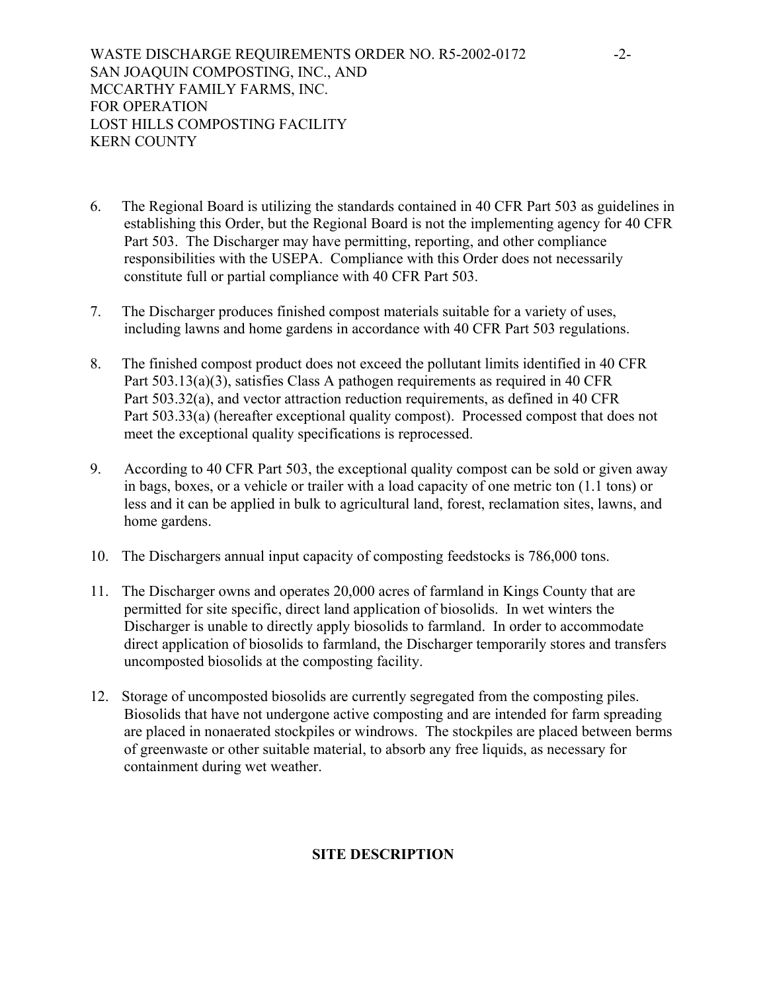- 6. The Regional Board is utilizing the standards contained in 40 CFR Part 503 as guidelines in establishing this Order, but the Regional Board is not the implementing agency for 40 CFR Part 503. The Discharger may have permitting, reporting, and other compliance responsibilities with the USEPA. Compliance with this Order does not necessarily constitute full or partial compliance with 40 CFR Part 503.
- 7. The Discharger produces finished compost materials suitable for a variety of uses, including lawns and home gardens in accordance with 40 CFR Part 503 regulations.
- 8. The finished compost product does not exceed the pollutant limits identified in 40 CFR Part 503.13(a)(3), satisfies Class A pathogen requirements as required in 40 CFR Part 503.32(a), and vector attraction reduction requirements, as defined in 40 CFR Part 503.33(a) (hereafter exceptional quality compost). Processed compost that does not meet the exceptional quality specifications is reprocessed.
- 9. According to 40 CFR Part 503, the exceptional quality compost can be sold or given away in bags, boxes, or a vehicle or trailer with a load capacity of one metric ton (1.1 tons) or less and it can be applied in bulk to agricultural land, forest, reclamation sites, lawns, and home gardens.
- 10. The Dischargers annual input capacity of composting feedstocks is 786,000 tons.
- 11. The Discharger owns and operates 20,000 acres of farmland in Kings County that are permitted for site specific, direct land application of biosolids. In wet winters the Discharger is unable to directly apply biosolids to farmland. In order to accommodate direct application of biosolids to farmland, the Discharger temporarily stores and transfers uncomposted biosolids at the composting facility.
- 12. Storage of uncomposted biosolids are currently segregated from the composting piles. Biosolids that have not undergone active composting and are intended for farm spreading are placed in nonaerated stockpiles or windrows. The stockpiles are placed between berms of greenwaste or other suitable material, to absorb any free liquids, as necessary for containment during wet weather.

# **SITE DESCRIPTION**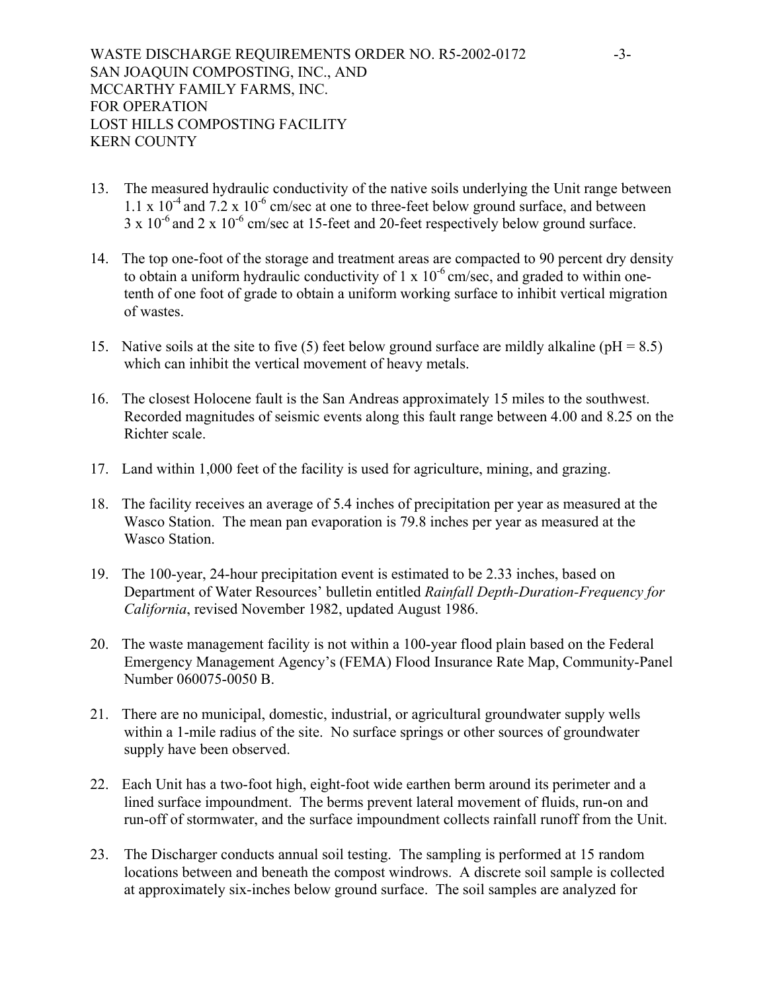- 13. The measured hydraulic conductivity of the native soils underlying the Unit range between 1.1 x  $10^{-4}$  and  $7.2$  x  $10^{-6}$  cm/sec at one to three-feet below ground surface, and between  $3 \times 10^{-6}$  and  $2 \times 10^{-6}$  cm/sec at 15-feet and 20-feet respectively below ground surface.
- 14. The top one-foot of the storage and treatment areas are compacted to 90 percent dry density to obtain a uniform hydraulic conductivity of 1 x  $10^{-6}$  cm/sec, and graded to within onetenth of one foot of grade to obtain a uniform working surface to inhibit vertical migration of wastes.
- 15. Native soils at the site to five (5) feet below ground surface are mildly alkaline ( $pH = 8.5$ ) which can inhibit the vertical movement of heavy metals.
- 16. The closest Holocene fault is the San Andreas approximately 15 miles to the southwest. Recorded magnitudes of seismic events along this fault range between 4.00 and 8.25 on the Richter scale.
- 17. Land within 1,000 feet of the facility is used for agriculture, mining, and grazing.
- 18. The facility receives an average of 5.4 inches of precipitation per year as measured at the Wasco Station. The mean pan evaporation is 79.8 inches per year as measured at the Wasco Station.
- 19. The 100-year, 24-hour precipitation event is estimated to be 2.33 inches, based on Department of Water Resources' bulletin entitled *Rainfall Depth-Duration-Frequency for California*, revised November 1982, updated August 1986.
- 20. The waste management facility is not within a 100-year flood plain based on the Federal Emergency Management Agency's (FEMA) Flood Insurance Rate Map, Community-Panel Number 060075-0050 B.
- 21. There are no municipal, domestic, industrial, or agricultural groundwater supply wells within a 1-mile radius of the site. No surface springs or other sources of groundwater supply have been observed.
- 22. Each Unit has a two-foot high, eight-foot wide earthen berm around its perimeter and a lined surface impoundment. The berms prevent lateral movement of fluids, run-on and run-off of stormwater, and the surface impoundment collects rainfall runoff from the Unit.
- 23. The Discharger conducts annual soil testing. The sampling is performed at 15 random locations between and beneath the compost windrows. A discrete soil sample is collected at approximately six-inches below ground surface. The soil samples are analyzed for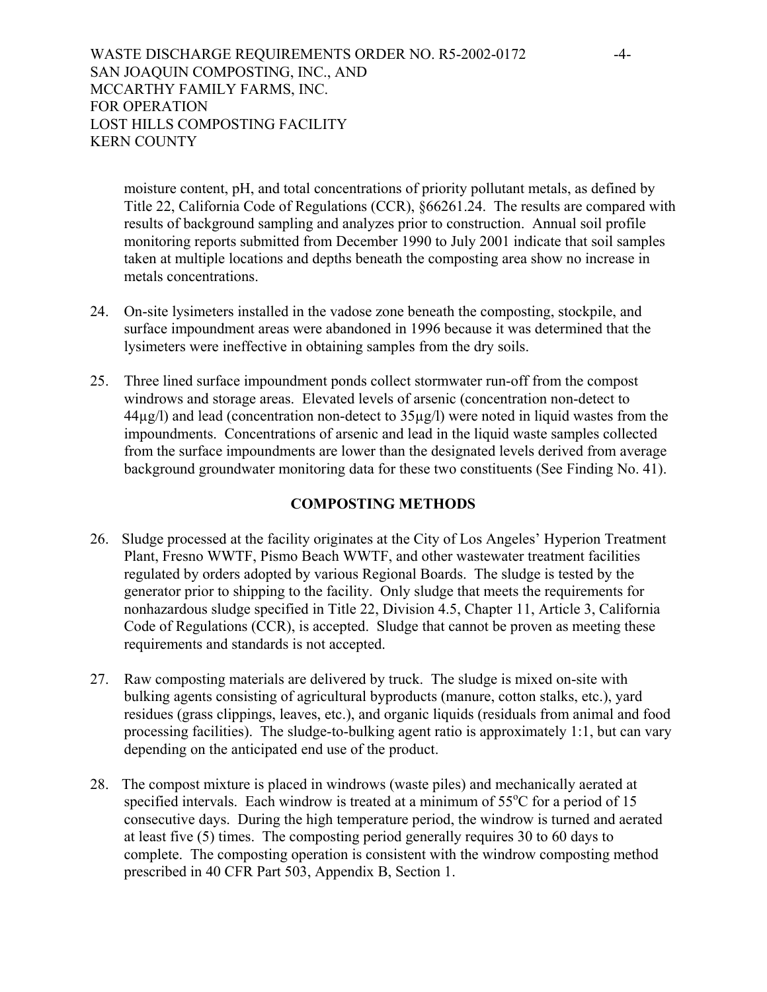moisture content, pH, and total concentrations of priority pollutant metals, as defined by Title 22, California Code of Regulations (CCR), §66261.24. The results are compared with results of background sampling and analyzes prior to construction. Annual soil profile monitoring reports submitted from December 1990 to July 2001 indicate that soil samples taken at multiple locations and depths beneath the composting area show no increase in metals concentrations.

- 24. On-site lysimeters installed in the vadose zone beneath the composting, stockpile, and surface impoundment areas were abandoned in 1996 because it was determined that the lysimeters were ineffective in obtaining samples from the dry soils.
- 25. Three lined surface impoundment ponds collect stormwater run-off from the compost windrows and storage areas. Elevated levels of arsenic (concentration non-detect to 44µg/l) and lead (concentration non-detect to 35µg/l) were noted in liquid wastes from the impoundments. Concentrations of arsenic and lead in the liquid waste samples collected from the surface impoundments are lower than the designated levels derived from average background groundwater monitoring data for these two constituents (See Finding No. 41).

#### **COMPOSTING METHODS**

- 26. Sludge processed at the facility originates at the City of Los Angeles' Hyperion Treatment Plant, Fresno WWTF, Pismo Beach WWTF, and other wastewater treatment facilities regulated by orders adopted by various Regional Boards. The sludge is tested by the generator prior to shipping to the facility. Only sludge that meets the requirements for nonhazardous sludge specified in Title 22, Division 4.5, Chapter 11, Article 3, California Code of Regulations (CCR), is accepted. Sludge that cannot be proven as meeting these requirements and standards is not accepted.
- 27. Raw composting materials are delivered by truck. The sludge is mixed on-site with bulking agents consisting of agricultural byproducts (manure, cotton stalks, etc.), yard residues (grass clippings, leaves, etc.), and organic liquids (residuals from animal and food processing facilities). The sludge-to-bulking agent ratio is approximately 1:1, but can vary depending on the anticipated end use of the product.
- 28. The compost mixture is placed in windrows (waste piles) and mechanically aerated at specified intervals. Each windrow is treated at a minimum of  $55^{\circ}$ C for a period of 15 consecutive days. During the high temperature period, the windrow is turned and aerated at least five (5) times. The composting period generally requires 30 to 60 days to complete. The composting operation is consistent with the windrow composting method prescribed in 40 CFR Part 503, Appendix B, Section 1.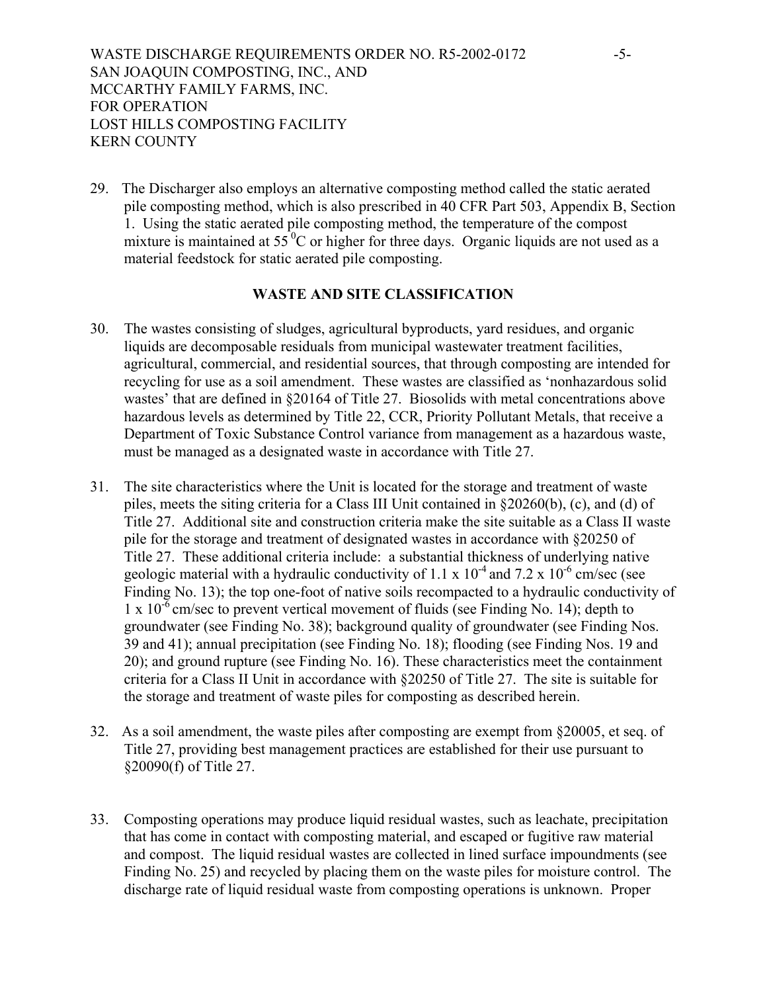29. The Discharger also employs an alternative composting method called the static aerated pile composting method, which is also prescribed in 40 CFR Part 503, Appendix B, Section 1. Using the static aerated pile composting method, the temperature of the compost mixture is maintained at  $55<sup>0</sup>C$  or higher for three days. Organic liquids are not used as a material feedstock for static aerated pile composting.

#### **WASTE AND SITE CLASSIFICATION**

- 30. The wastes consisting of sludges, agricultural byproducts, yard residues, and organic liquids are decomposable residuals from municipal wastewater treatment facilities, agricultural, commercial, and residential sources, that through composting are intended for recycling for use as a soil amendment. These wastes are classified as 'nonhazardous solid wastes' that are defined in §20164 of Title 27. Biosolids with metal concentrations above hazardous levels as determined by Title 22, CCR, Priority Pollutant Metals, that receive a Department of Toxic Substance Control variance from management as a hazardous waste, must be managed as a designated waste in accordance with Title 27.
- 31. The site characteristics where the Unit is located for the storage and treatment of waste piles, meets the siting criteria for a Class III Unit contained in §20260(b), (c), and (d) of Title 27. Additional site and construction criteria make the site suitable as a Class II waste pile for the storage and treatment of designated wastes in accordance with §20250 of Title 27. These additional criteria include: a substantial thickness of underlying native geologic material with a hydraulic conductivity of 1.1 x  $10^{-4}$  and 7.2 x  $10^{-6}$  cm/sec (see Finding No. 13); the top one-foot of native soils recompacted to a hydraulic conductivity of  $1 \times 10^{-6}$  cm/sec to prevent vertical movement of fluids (see Finding No. 14); depth to groundwater (see Finding No. 38); background quality of groundwater (see Finding Nos. 39 and 41); annual precipitation (see Finding No. 18); flooding (see Finding Nos. 19 and 20); and ground rupture (see Finding No. 16). These characteristics meet the containment criteria for a Class II Unit in accordance with §20250 of Title 27. The site is suitable for the storage and treatment of waste piles for composting as described herein.
- 32. As a soil amendment, the waste piles after composting are exempt from §20005, et seq. of Title 27, providing best management practices are established for their use pursuant to §20090(f) of Title 27.
- 33. Composting operations may produce liquid residual wastes, such as leachate, precipitation that has come in contact with composting material, and escaped or fugitive raw material and compost. The liquid residual wastes are collected in lined surface impoundments (see Finding No. 25) and recycled by placing them on the waste piles for moisture control. The discharge rate of liquid residual waste from composting operations is unknown. Proper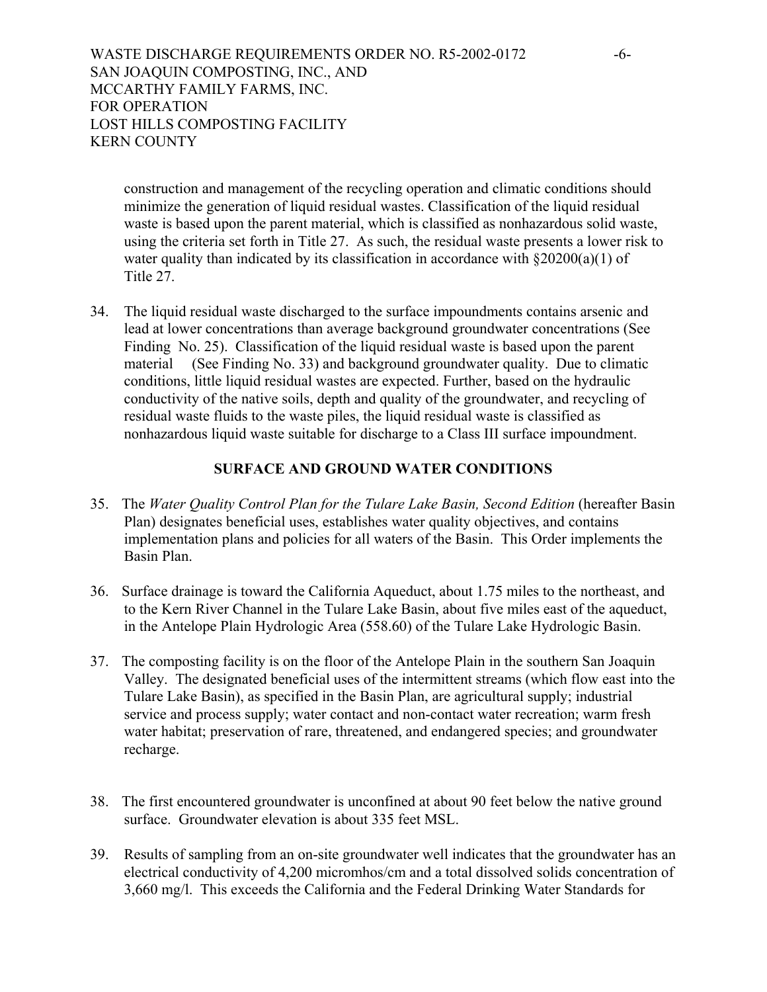construction and management of the recycling operation and climatic conditions should minimize the generation of liquid residual wastes. Classification of the liquid residual waste is based upon the parent material, which is classified as nonhazardous solid waste, using the criteria set forth in Title 27. As such, the residual waste presents a lower risk to water quality than indicated by its classification in accordance with  $\S 20200(a)(1)$  of Title 27.

34. The liquid residual waste discharged to the surface impoundments contains arsenic and lead at lower concentrations than average background groundwater concentrations (See Finding No. 25). Classification of the liquid residual waste is based upon the parent material (See Finding No. 33) and background groundwater quality. Due to climatic conditions, little liquid residual wastes are expected. Further, based on the hydraulic conductivity of the native soils, depth and quality of the groundwater, and recycling of residual waste fluids to the waste piles, the liquid residual waste is classified as nonhazardous liquid waste suitable for discharge to a Class III surface impoundment.

#### **SURFACE AND GROUND WATER CONDITIONS**

- 35. The *Water Quality Control Plan for the Tulare Lake Basin, Second Edition* (hereafter Basin Plan) designates beneficial uses, establishes water quality objectives, and contains implementation plans and policies for all waters of the Basin. This Order implements the Basin Plan.
- 36. Surface drainage is toward the California Aqueduct, about 1.75 miles to the northeast, and to the Kern River Channel in the Tulare Lake Basin, about five miles east of the aqueduct, in the Antelope Plain Hydrologic Area (558.60) of the Tulare Lake Hydrologic Basin.
- 37. The composting facility is on the floor of the Antelope Plain in the southern San Joaquin Valley. The designated beneficial uses of the intermittent streams (which flow east into the Tulare Lake Basin), as specified in the Basin Plan, are agricultural supply; industrial service and process supply; water contact and non-contact water recreation; warm fresh water habitat; preservation of rare, threatened, and endangered species; and groundwater recharge.
- 38. The first encountered groundwater is unconfined at about 90 feet below the native ground surface. Groundwater elevation is about 335 feet MSL.
- 39. Results of sampling from an on-site groundwater well indicates that the groundwater has an electrical conductivity of 4,200 micromhos/cm and a total dissolved solids concentration of 3,660 mg/l. This exceeds the California and the Federal Drinking Water Standards for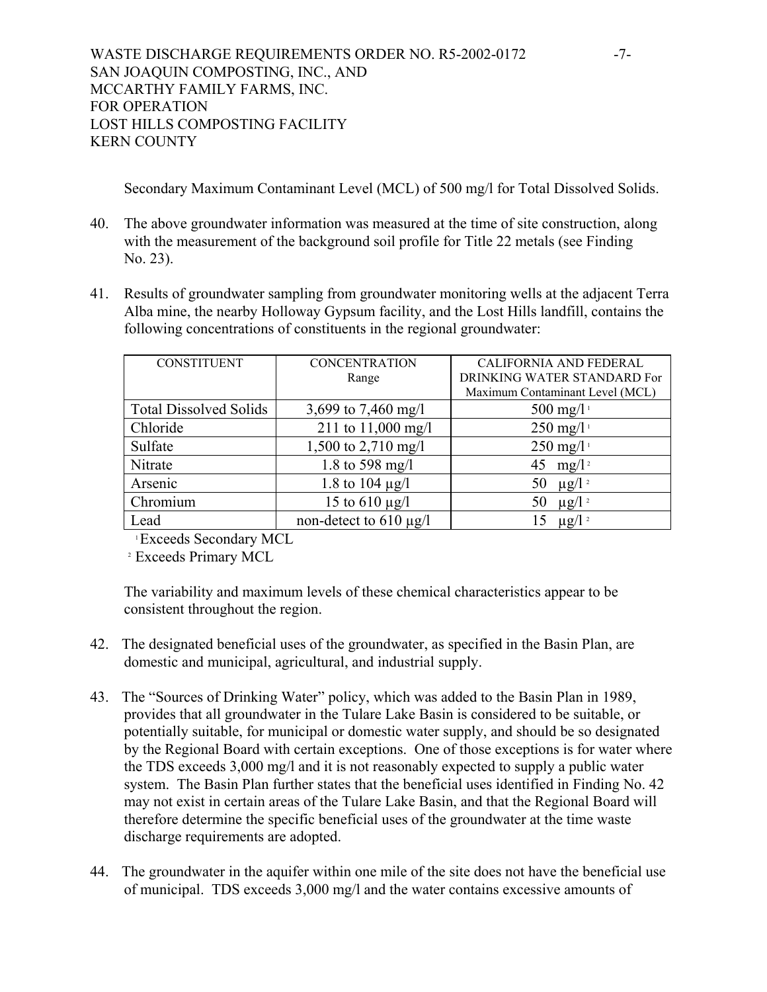Secondary Maximum Contaminant Level (MCL) of 500 mg/l for Total Dissolved Solids.

- 40. The above groundwater information was measured at the time of site construction, along with the measurement of the background soil profile for Title 22 metals (see Finding No. 23).
- 41. Results of groundwater sampling from groundwater monitoring wells at the adjacent Terra Alba mine, the nearby Holloway Gypsum facility, and the Lost Hills landfill, contains the following concentrations of constituents in the regional groundwater:

| <b>CONSTITUENT</b>            | <b>CONCENTRATION</b>        | <b>CALIFORNIA AND FEDERAL</b>   |  |
|-------------------------------|-----------------------------|---------------------------------|--|
|                               | Range                       | DRINKING WATER STANDARD For     |  |
|                               |                             | Maximum Contaminant Level (MCL) |  |
| <b>Total Dissolved Solids</b> | 3,699 to 7,460 mg/l         | $500 \text{ mg/l}$              |  |
| Chloride                      | 211 to 11,000 mg/l          | $250 \text{ mg/l}$              |  |
| Sulfate                       | 1,500 to 2,710 mg/l         | $250 \text{ mg/l}$              |  |
| Nitrate                       | 1.8 to 598 mg/l             | 45 mg/l <sup>2</sup>            |  |
| Arsenic                       | 1.8 to 104 $\mu$ g/l        | $\mu$ g/l <sup>2</sup><br>50    |  |
| Chromium                      | 15 to $610 \mu g/l$         | $\mu$ g/l <sup>2</sup><br>50    |  |
| Lead                          | non-detect to $610 \mu g/l$ | $\mu$ g/l <sup>2</sup>          |  |

<sup>1</sup> Exceeds Secondary MCL<br><sup>2</sup> Exceeds Primary MCL

The variability and maximum levels of these chemical characteristics appear to be consistent throughout the region.

- 42. The designated beneficial uses of the groundwater, as specified in the Basin Plan, are domestic and municipal, agricultural, and industrial supply.
- 43. The "Sources of Drinking Water" policy, which was added to the Basin Plan in 1989, provides that all groundwater in the Tulare Lake Basin is considered to be suitable, or potentially suitable, for municipal or domestic water supply, and should be so designated by the Regional Board with certain exceptions. One of those exceptions is for water where the TDS exceeds 3,000 mg/l and it is not reasonably expected to supply a public water system. The Basin Plan further states that the beneficial uses identified in Finding No. 42 may not exist in certain areas of the Tulare Lake Basin, and that the Regional Board will therefore determine the specific beneficial uses of the groundwater at the time waste discharge requirements are adopted.
- 44. The groundwater in the aquifer within one mile of the site does not have the beneficial use of municipal. TDS exceeds 3,000 mg/l and the water contains excessive amounts of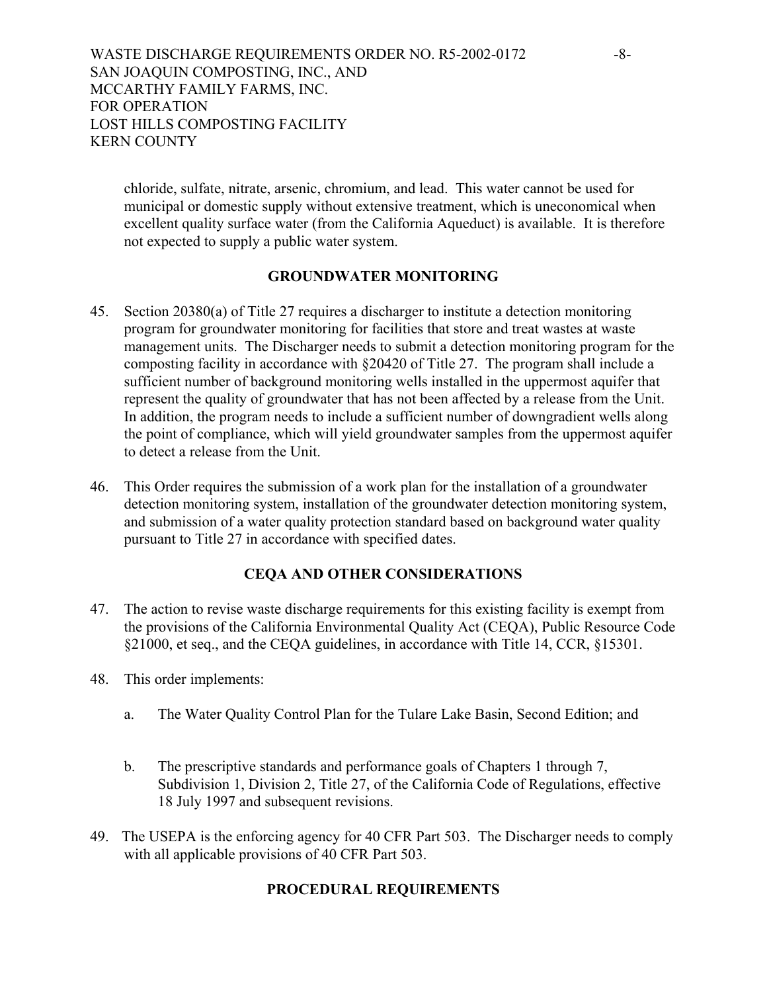chloride, sulfate, nitrate, arsenic, chromium, and lead. This water cannot be used for municipal or domestic supply without extensive treatment, which is uneconomical when excellent quality surface water (from the California Aqueduct) is available. It is therefore not expected to supply a public water system.

#### **GROUNDWATER MONITORING**

- 45. Section 20380(a) of Title 27 requires a discharger to institute a detection monitoring program for groundwater monitoring for facilities that store and treat wastes at waste management units. The Discharger needs to submit a detection monitoring program for the composting facility in accordance with §20420 of Title 27. The program shall include a sufficient number of background monitoring wells installed in the uppermost aquifer that represent the quality of groundwater that has not been affected by a release from the Unit. In addition, the program needs to include a sufficient number of downgradient wells along the point of compliance, which will yield groundwater samples from the uppermost aquifer to detect a release from the Unit.
- 46. This Order requires the submission of a work plan for the installation of a groundwater detection monitoring system, installation of the groundwater detection monitoring system, and submission of a water quality protection standard based on background water quality pursuant to Title 27 in accordance with specified dates.

# **CEQA AND OTHER CONSIDERATIONS**

- 47. The action to revise waste discharge requirements for this existing facility is exempt from the provisions of the California Environmental Quality Act (CEQA), Public Resource Code §21000, et seq., and the CEQA guidelines, in accordance with Title 14, CCR, §15301.
- 48. This order implements:
	- a. The Water Quality Control Plan for the Tulare Lake Basin, Second Edition; and
	- b. The prescriptive standards and performance goals of Chapters 1 through 7, Subdivision 1, Division 2, Title 27, of the California Code of Regulations, effective 18 July 1997 and subsequent revisions.
- 49. The USEPA is the enforcing agency for 40 CFR Part 503. The Discharger needs to comply with all applicable provisions of 40 CFR Part 503.

# **PROCEDURAL REQUIREMENTS**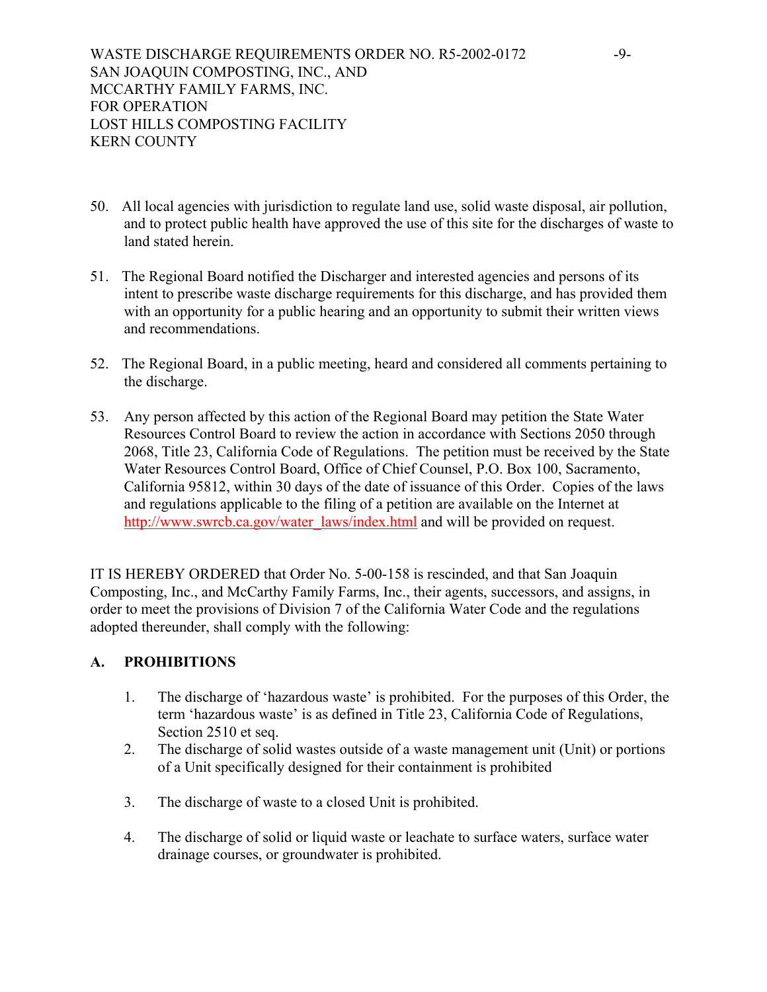- 50. All local agencies with jurisdiction to regulate land use, solid waste disposal, air pollution, and to protect public health have approved the use of this site for the discharges of waste to land stated herein.
- 51. The Regional Board notified the Discharger and interested agencies and persons of its intent to prescribe waste discharge requirements for this discharge, and has provided them with an opportunity for a public hearing and an opportunity to submit their written views and recommendations.
- 52. The Regional Board, in a public meeting, heard and considered all comments pertaining to the discharge.
- 53. Any person affected by this action of the Regional Board may petition the State Water Resources Control Board to review the action in accordance with Sections 2050 through 2068, Title 23, California Code of Regulations. The petition must be received by the State Water Resources Control Board, Office of Chief Counsel, P.O. Box 100, Sacramento, California 95812, within 30 days of the date of issuance of this Order. Copies of the laws and regulations applicable to the filing of a petition are available on the Internet at http://www.swrcb.ca.gov/water\_laws/index.html and will be provided on request.

IT IS HEREBY ORDERED that Order No. 5-00-158 is rescinded, and that San Joaquin Composting, Inc., and McCarthy Family Farms, Inc., their agents, successors, and assigns, in order to meet the provisions of Division 7 of the California Water Code and the regulations adopted thereunder, shall comply with the following:

# **A. PROHIBITIONS**

- 1. The discharge of 'hazardous waste' is prohibited. For the purposes of this Order, the term 'hazardous waste' is as defined in Title 23, California Code of Regulations, Section 2510 et seq.
- 2. The discharge of solid wastes outside of a waste management unit (Unit) or portions of a Unit specifically designed for their containment is prohibited
- 3. The discharge of waste to a closed Unit is prohibited.
- 4. The discharge of solid or liquid waste or leachate to surface waters, surface water drainage courses, or groundwater is prohibited.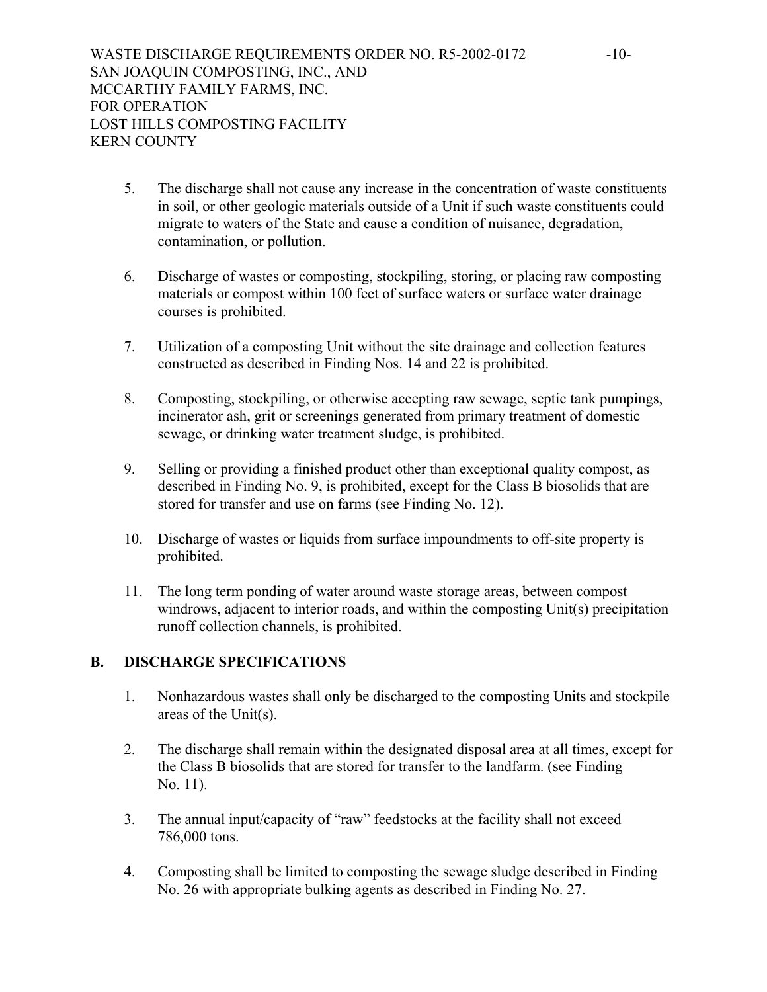- 5. The discharge shall not cause any increase in the concentration of waste constituents in soil, or other geologic materials outside of a Unit if such waste constituents could migrate to waters of the State and cause a condition of nuisance, degradation, contamination, or pollution.
- 6. Discharge of wastes or composting, stockpiling, storing, or placing raw composting materials or compost within 100 feet of surface waters or surface water drainage courses is prohibited.
- 7. Utilization of a composting Unit without the site drainage and collection features constructed as described in Finding Nos. 14 and 22 is prohibited.
- 8. Composting, stockpiling, or otherwise accepting raw sewage, septic tank pumpings, incinerator ash, grit or screenings generated from primary treatment of domestic sewage, or drinking water treatment sludge, is prohibited.
- 9. Selling or providing a finished product other than exceptional quality compost, as described in Finding No. 9, is prohibited, except for the Class B biosolids that are stored for transfer and use on farms (see Finding No. 12).
- 10. Discharge of wastes or liquids from surface impoundments to off-site property is prohibited.
- 11. The long term ponding of water around waste storage areas, between compost windrows, adjacent to interior roads, and within the composting Unit(s) precipitation runoff collection channels, is prohibited.

# **B. DISCHARGE SPECIFICATIONS**

- 1. Nonhazardous wastes shall only be discharged to the composting Units and stockpile areas of the Unit(s).
- 2. The discharge shall remain within the designated disposal area at all times, except for the Class B biosolids that are stored for transfer to the landfarm. (see Finding No. 11).
- 3. The annual input/capacity of "raw" feedstocks at the facility shall not exceed 786,000 tons.
- 4. Composting shall be limited to composting the sewage sludge described in Finding No. 26 with appropriate bulking agents as described in Finding No. 27.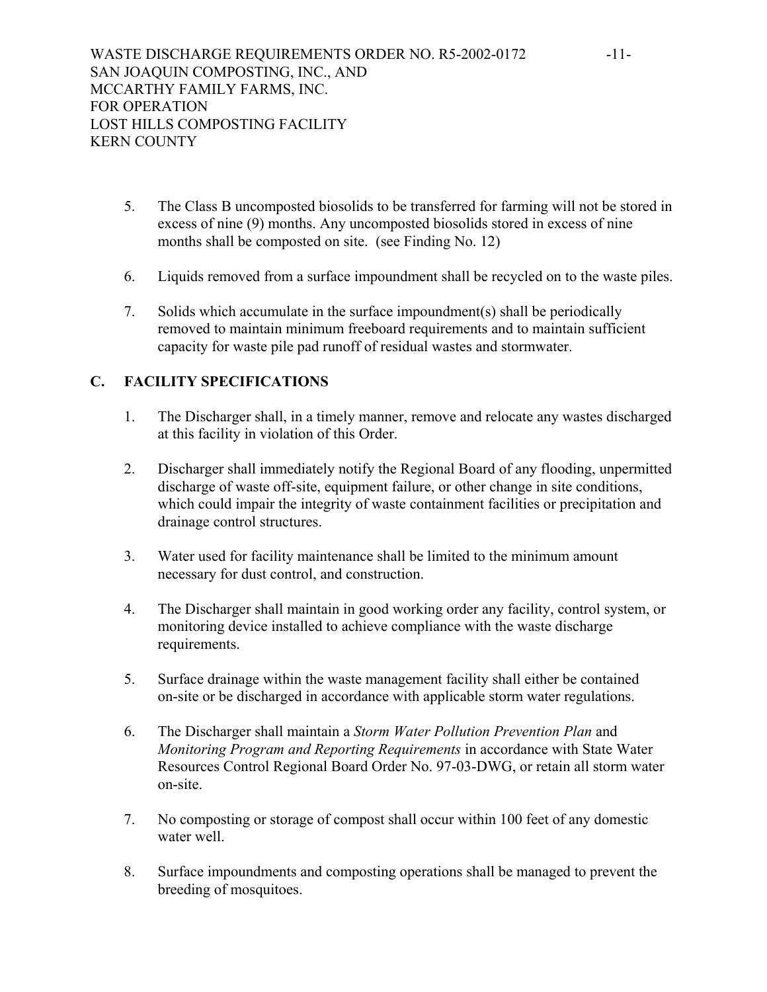- 5. The Class B uncomposted biosolids to be transferred for farming will not be stored in excess of nine (9) months. Any uncomposted biosolids stored in excess of nine months shall be composted on site. (see Finding No. 12)
- 6. Liquids removed from a surface impoundment shall be recycled on to the waste piles.
- 7. Solids which accumulate in the surface impoundment(s) shall be periodically removed to maintain minimum freeboard requirements and to maintain sufficient capacity for waste pile pad runoff of residual wastes and stormwater.

# **C. FACILITY SPECIFICATIONS**

- 1. The Discharger shall, in a timely manner, remove and relocate any wastes discharged at this facility in violation of this Order.
- 2. Discharger shall immediately notify the Regional Board of any flooding, unpermitted discharge of waste off-site, equipment failure, or other change in site conditions, which could impair the integrity of waste containment facilities or precipitation and drainage control structures.
- 3. Water used for facility maintenance shall be limited to the minimum amount necessary for dust control, and construction.
- 4. The Discharger shall maintain in good working order any facility, control system, or monitoring device installed to achieve compliance with the waste discharge requirements.
- 5. Surface drainage within the waste management facility shall either be contained on-site or be discharged in accordance with applicable storm water regulations.
- 6. The Discharger shall maintain a *Storm Water Pollution Prevention Plan* and *Monitoring Program and Reporting Requirements* in accordance with State Water Resources Control Regional Board Order No. 97-03-DWG, or retain all storm water on-site.
- 7. No composting or storage of compost shall occur within 100 feet of any domestic water well
- 8. Surface impoundments and composting operations shall be managed to prevent the breeding of mosquitoes.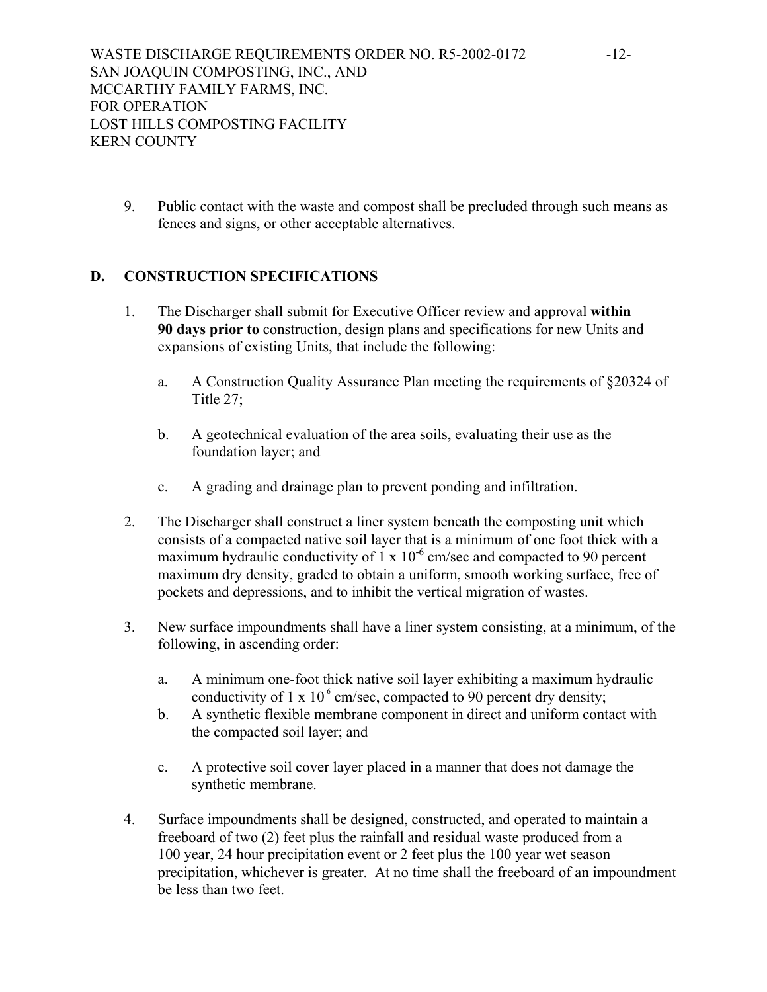9. Public contact with the waste and compost shall be precluded through such means as fences and signs, or other acceptable alternatives.

# **D. CONSTRUCTION SPECIFICATIONS**

- 1. The Discharger shall submit for Executive Officer review and approval **within 90 days prior to** construction, design plans and specifications for new Units and expansions of existing Units, that include the following:
	- a. A Construction Quality Assurance Plan meeting the requirements of §20324 of Title 27;
	- b. A geotechnical evaluation of the area soils, evaluating their use as the foundation layer; and
	- c. A grading and drainage plan to prevent ponding and infiltration.
- 2. The Discharger shall construct a liner system beneath the composting unit which consists of a compacted native soil layer that is a minimum of one foot thick with a maximum hydraulic conductivity of  $1 \times 10^{-6}$  cm/sec and compacted to 90 percent maximum dry density, graded to obtain a uniform, smooth working surface, free of pockets and depressions, and to inhibit the vertical migration of wastes.
- 3. New surface impoundments shall have a liner system consisting, at a minimum, of the following, in ascending order:
	- a. A minimum one-foot thick native soil layer exhibiting a maximum hydraulic conductivity of 1 x  $10^{-6}$  cm/sec, compacted to 90 percent dry density;
	- b. A synthetic flexible membrane component in direct and uniform contact with the compacted soil layer; and
	- c. A protective soil cover layer placed in a manner that does not damage the synthetic membrane.
- 4. Surface impoundments shall be designed, constructed, and operated to maintain a freeboard of two (2) feet plus the rainfall and residual waste produced from a 100 year, 24 hour precipitation event or 2 feet plus the 100 year wet season precipitation, whichever is greater. At no time shall the freeboard of an impoundment be less than two feet.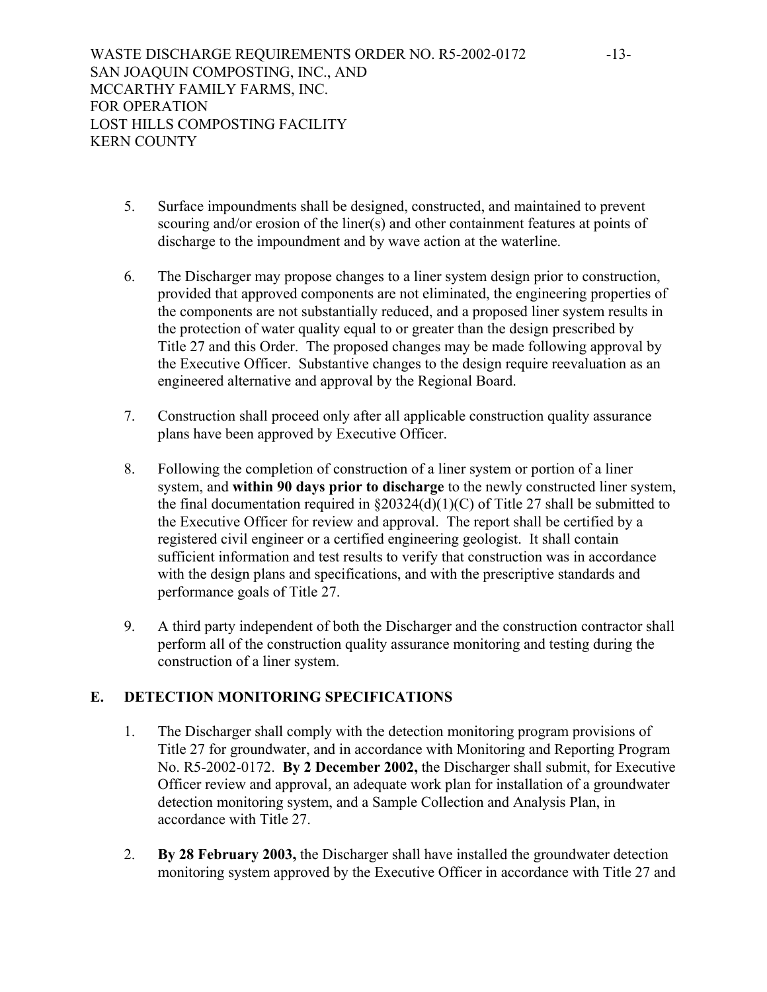- 5. Surface impoundments shall be designed, constructed, and maintained to prevent scouring and/or erosion of the liner(s) and other containment features at points of discharge to the impoundment and by wave action at the waterline.
- 6. The Discharger may propose changes to a liner system design prior to construction, provided that approved components are not eliminated, the engineering properties of the components are not substantially reduced, and a proposed liner system results in the protection of water quality equal to or greater than the design prescribed by Title 27 and this Order. The proposed changes may be made following approval by the Executive Officer. Substantive changes to the design require reevaluation as an engineered alternative and approval by the Regional Board.
- 7. Construction shall proceed only after all applicable construction quality assurance plans have been approved by Executive Officer.
- 8. Following the completion of construction of a liner system or portion of a liner system, and **within 90 days prior to discharge** to the newly constructed liner system, the final documentation required in  $\S20324(d)(1)(C)$  of Title 27 shall be submitted to the Executive Officer for review and approval. The report shall be certified by a registered civil engineer or a certified engineering geologist. It shall contain sufficient information and test results to verify that construction was in accordance with the design plans and specifications, and with the prescriptive standards and performance goals of Title 27.
- 9. A third party independent of both the Discharger and the construction contractor shall perform all of the construction quality assurance monitoring and testing during the construction of a liner system.

# **E. DETECTION MONITORING SPECIFICATIONS**

- 1. The Discharger shall comply with the detection monitoring program provisions of Title 27 for groundwater, and in accordance with Monitoring and Reporting Program No. R5-2002-0172. **By 2 December 2002,** the Discharger shall submit, for Executive Officer review and approval, an adequate work plan for installation of a groundwater detection monitoring system, and a Sample Collection and Analysis Plan, in accordance with Title 27.
- 2. **By 28 February 2003,** the Discharger shall have installed the groundwater detection monitoring system approved by the Executive Officer in accordance with Title 27 and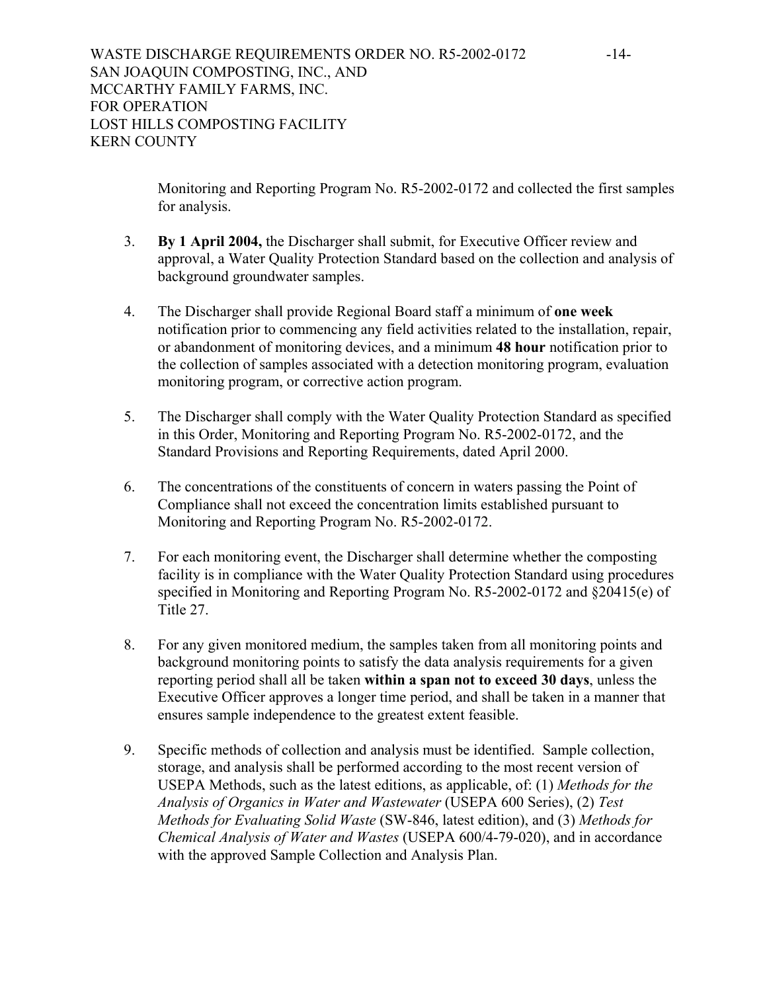Monitoring and Reporting Program No. R5-2002-0172 and collected the first samples for analysis.

- 3. **By 1 April 2004,** the Discharger shall submit, for Executive Officer review and approval, a Water Quality Protection Standard based on the collection and analysis of background groundwater samples.
- 4. The Discharger shall provide Regional Board staff a minimum of **one week** notification prior to commencing any field activities related to the installation, repair, or abandonment of monitoring devices, and a minimum **48 hour** notification prior to the collection of samples associated with a detection monitoring program, evaluation monitoring program, or corrective action program.
- 5. The Discharger shall comply with the Water Quality Protection Standard as specified in this Order, Monitoring and Reporting Program No. R5-2002-0172, and the Standard Provisions and Reporting Requirements, dated April 2000.
- 6. The concentrations of the constituents of concern in waters passing the Point of Compliance shall not exceed the concentration limits established pursuant to Monitoring and Reporting Program No. R5-2002-0172.
- 7. For each monitoring event, the Discharger shall determine whether the composting facility is in compliance with the Water Quality Protection Standard using procedures specified in Monitoring and Reporting Program No. R5-2002-0172 and §20415(e) of Title 27.
- 8. For any given monitored medium, the samples taken from all monitoring points and background monitoring points to satisfy the data analysis requirements for a given reporting period shall all be taken **within a span not to exceed 30 days**, unless the Executive Officer approves a longer time period, and shall be taken in a manner that ensures sample independence to the greatest extent feasible.
- 9. Specific methods of collection and analysis must be identified. Sample collection, storage, and analysis shall be performed according to the most recent version of USEPA Methods, such as the latest editions, as applicable, of: (1) *Methods for the Analysis of Organics in Water and Wastewater* (USEPA 600 Series), (2) *Test Methods for Evaluating Solid Waste* (SW-846, latest edition), and (3) *Methods for Chemical Analysis of Water and Wastes* (USEPA 600/4-79-020), and in accordance with the approved Sample Collection and Analysis Plan.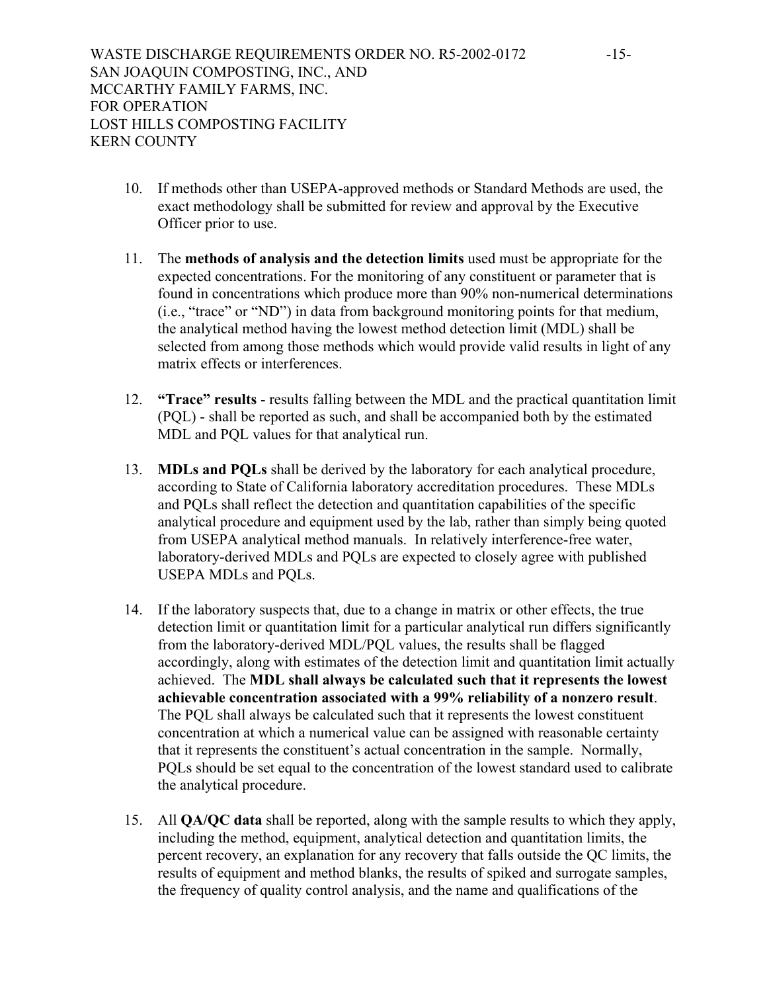- 10. If methods other than USEPA-approved methods or Standard Methods are used, the exact methodology shall be submitted for review and approval by the Executive Officer prior to use.
- 11. The **methods of analysis and the detection limits** used must be appropriate for the expected concentrations. For the monitoring of any constituent or parameter that is found in concentrations which produce more than 90% non-numerical determinations (i.e., "trace" or "ND") in data from background monitoring points for that medium, the analytical method having the lowest method detection limit (MDL) shall be selected from among those methods which would provide valid results in light of any matrix effects or interferences.
- 12. **"Trace" results** results falling between the MDL and the practical quantitation limit (PQL) - shall be reported as such, and shall be accompanied both by the estimated MDL and PQL values for that analytical run.
- 13. **MDLs and PQLs** shall be derived by the laboratory for each analytical procedure, according to State of California laboratory accreditation procedures. These MDLs and PQLs shall reflect the detection and quantitation capabilities of the specific analytical procedure and equipment used by the lab, rather than simply being quoted from USEPA analytical method manuals. In relatively interference-free water, laboratory-derived MDLs and PQLs are expected to closely agree with published USEPA MDLs and PQLs.
- 14. If the laboratory suspects that, due to a change in matrix or other effects, the true detection limit or quantitation limit for a particular analytical run differs significantly from the laboratory-derived MDL/PQL values, the results shall be flagged accordingly, along with estimates of the detection limit and quantitation limit actually achieved. The **MDL shall always be calculated such that it represents the lowest achievable concentration associated with a 99% reliability of a nonzero result**. The PQL shall always be calculated such that it represents the lowest constituent concentration at which a numerical value can be assigned with reasonable certainty that it represents the constituent's actual concentration in the sample. Normally, PQLs should be set equal to the concentration of the lowest standard used to calibrate the analytical procedure.
- 15. All **QA/QC data** shall be reported, along with the sample results to which they apply, including the method, equipment, analytical detection and quantitation limits, the percent recovery, an explanation for any recovery that falls outside the QC limits, the results of equipment and method blanks, the results of spiked and surrogate samples, the frequency of quality control analysis, and the name and qualifications of the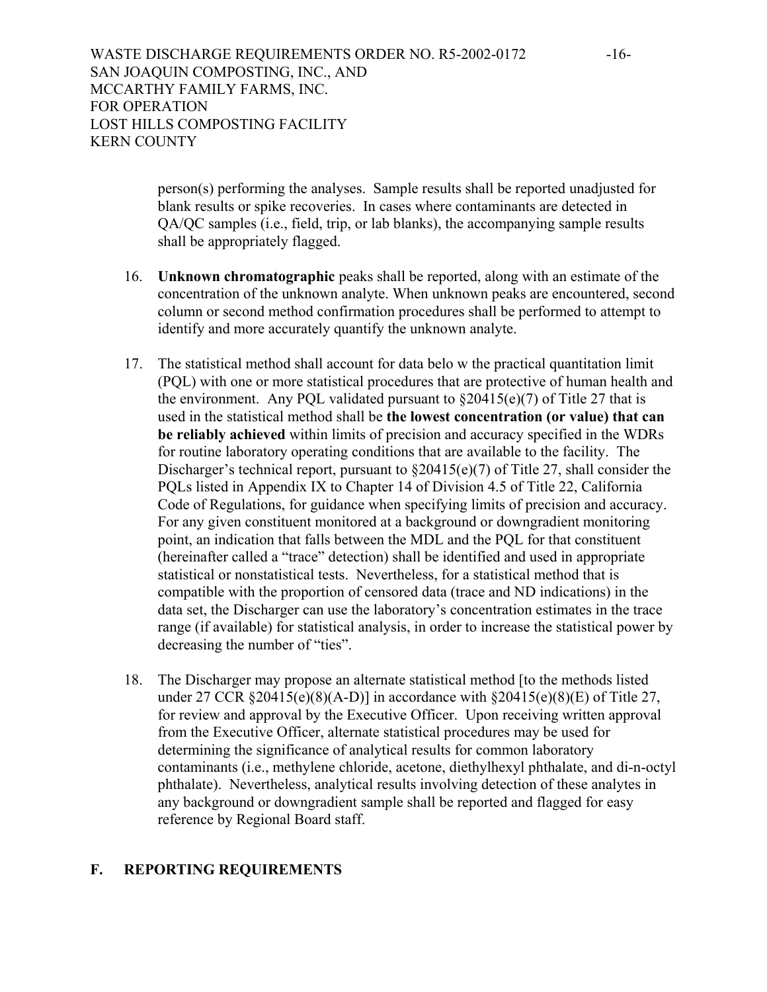person(s) performing the analyses. Sample results shall be reported unadjusted for blank results or spike recoveries. In cases where contaminants are detected in QA/QC samples (i.e., field, trip, or lab blanks), the accompanying sample results shall be appropriately flagged.

- 16. **Unknown chromatographic** peaks shall be reported, along with an estimate of the concentration of the unknown analyte. When unknown peaks are encountered, second column or second method confirmation procedures shall be performed to attempt to identify and more accurately quantify the unknown analyte.
- 17. The statistical method shall account for data belo w the practical quantitation limit (PQL) with one or more statistical procedures that are protective of human health and the environment. Any PQL validated pursuant to  $\S20415(e)(7)$  of Title 27 that is used in the statistical method shall be **the lowest concentration (or value) that can be reliably achieved** within limits of precision and accuracy specified in the WDRs for routine laboratory operating conditions that are available to the facility. The Discharger's technical report, pursuant to  $\S 20415(e)(7)$  of Title 27, shall consider the PQLs listed in Appendix IX to Chapter 14 of Division 4.5 of Title 22, California Code of Regulations, for guidance when specifying limits of precision and accuracy. For any given constituent monitored at a background or downgradient monitoring point, an indication that falls between the MDL and the PQL for that constituent (hereinafter called a "trace" detection) shall be identified and used in appropriate statistical or nonstatistical tests. Nevertheless, for a statistical method that is compatible with the proportion of censored data (trace and ND indications) in the data set, the Discharger can use the laboratory's concentration estimates in the trace range (if available) for statistical analysis, in order to increase the statistical power by decreasing the number of "ties".
- 18. The Discharger may propose an alternate statistical method [to the methods listed under 27 CCR  $$20415(e)(8)(A-D)]$  in accordance with  $$20415(e)(8)(E)$  of Title 27, for review and approval by the Executive Officer. Upon receiving written approval from the Executive Officer, alternate statistical procedures may be used for determining the significance of analytical results for common laboratory contaminants (i.e., methylene chloride, acetone, diethylhexyl phthalate, and di-n-octyl phthalate). Nevertheless, analytical results involving detection of these analytes in any background or downgradient sample shall be reported and flagged for easy reference by Regional Board staff.

#### **F. REPORTING REQUIREMENTS**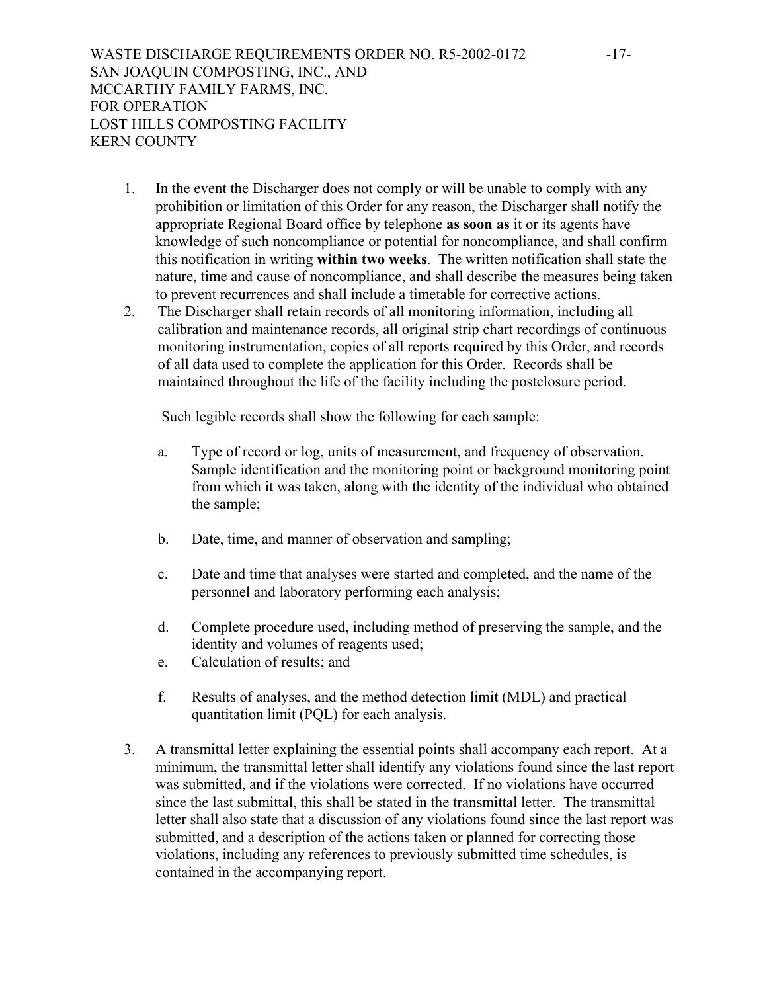- 1. In the event the Discharger does not comply or will be unable to comply with any prohibition or limitation of this Order for any reason, the Discharger shall notify the appropriate Regional Board office by telephone **as soon as** it or its agents have knowledge of such noncompliance or potential for noncompliance, and shall confirm this notification in writing **within two weeks**. The written notification shall state the nature, time and cause of noncompliance, and shall describe the measures being taken to prevent recurrences and shall include a timetable for corrective actions.
- 2. The Discharger shall retain records of all monitoring information, including all calibration and maintenance records, all original strip chart recordings of continuous monitoring instrumentation, copies of all reports required by this Order, and records of all data used to complete the application for this Order. Records shall be maintained throughout the life of the facility including the postclosure period.

Such legible records shall show the following for each sample:

- a. Type of record or log, units of measurement, and frequency of observation. Sample identification and the monitoring point or background monitoring point from which it was taken, along with the identity of the individual who obtained the sample;
- b. Date, time, and manner of observation and sampling;
- c. Date and time that analyses were started and completed, and the name of the personnel and laboratory performing each analysis;
- d. Complete procedure used, including method of preserving the sample, and the identity and volumes of reagents used;
- e. Calculation of results; and
- f. Results of analyses, and the method detection limit (MDL) and practical quantitation limit (PQL) for each analysis.
- 3. A transmittal letter explaining the essential points shall accompany each report. At a minimum, the transmittal letter shall identify any violations found since the last report was submitted, and if the violations were corrected. If no violations have occurred since the last submittal, this shall be stated in the transmittal letter. The transmittal letter shall also state that a discussion of any violations found since the last report was submitted, and a description of the actions taken or planned for correcting those violations, including any references to previously submitted time schedules, is contained in the accompanying report.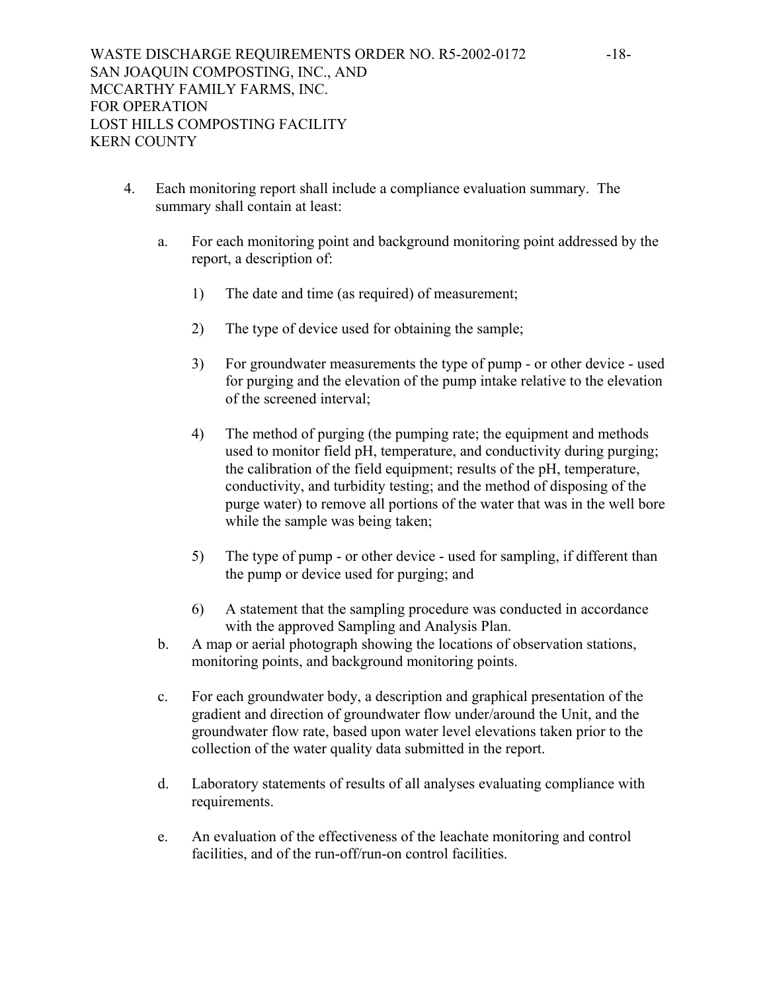- 4. Each monitoring report shall include a compliance evaluation summary. The summary shall contain at least:
	- a. For each monitoring point and background monitoring point addressed by the report, a description of:
		- 1) The date and time (as required) of measurement;
		- 2) The type of device used for obtaining the sample;
		- 3) For groundwater measurements the type of pump or other device used for purging and the elevation of the pump intake relative to the elevation of the screened interval;
		- 4) The method of purging (the pumping rate; the equipment and methods used to monitor field pH, temperature, and conductivity during purging; the calibration of the field equipment; results of the pH, temperature, conductivity, and turbidity testing; and the method of disposing of the purge water) to remove all portions of the water that was in the well bore while the sample was being taken;
		- 5) The type of pump or other device used for sampling, if different than the pump or device used for purging; and
		- 6) A statement that the sampling procedure was conducted in accordance with the approved Sampling and Analysis Plan.
	- b. A map or aerial photograph showing the locations of observation stations, monitoring points, and background monitoring points.
	- c. For each groundwater body, a description and graphical presentation of the gradient and direction of groundwater flow under/around the Unit, and the groundwater flow rate, based upon water level elevations taken prior to the collection of the water quality data submitted in the report.
	- d. Laboratory statements of results of all analyses evaluating compliance with requirements.
	- e. An evaluation of the effectiveness of the leachate monitoring and control facilities, and of the run-off/run-on control facilities.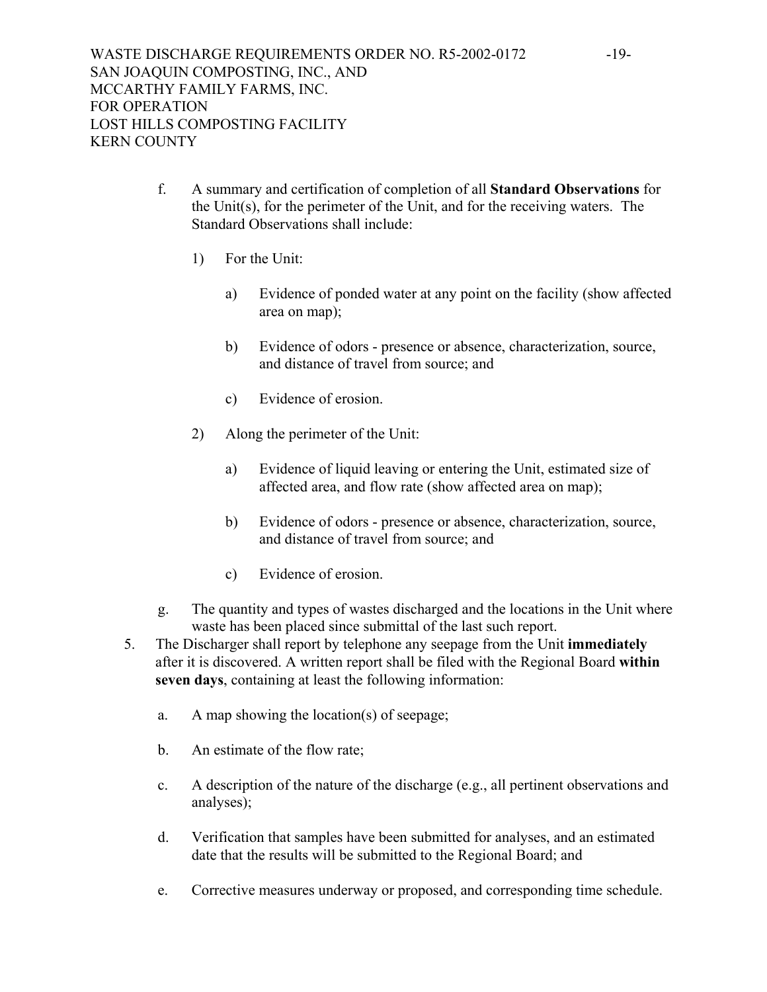- f. A summary and certification of completion of all **Standard Observations** for the Unit(s), for the perimeter of the Unit, and for the receiving waters. The Standard Observations shall include:
	- 1) For the Unit:
		- a) Evidence of ponded water at any point on the facility (show affected area on map);
		- b) Evidence of odors presence or absence, characterization, source, and distance of travel from source; and
		- c) Evidence of erosion.
	- 2) Along the perimeter of the Unit:
		- a) Evidence of liquid leaving or entering the Unit, estimated size of affected area, and flow rate (show affected area on map);
		- b) Evidence of odors presence or absence, characterization, source, and distance of travel from source; and
		- c) Evidence of erosion.
- g. The quantity and types of wastes discharged and the locations in the Unit where waste has been placed since submittal of the last such report.
- 5. The Discharger shall report by telephone any seepage from the Unit **immediately** after it is discovered. A written report shall be filed with the Regional Board **within seven days**, containing at least the following information:
	- a. A map showing the location(s) of seepage;
	- b. An estimate of the flow rate;
	- c. A description of the nature of the discharge (e.g., all pertinent observations and analyses);
	- d. Verification that samples have been submitted for analyses, and an estimated date that the results will be submitted to the Regional Board; and
	- e. Corrective measures underway or proposed, and corresponding time schedule.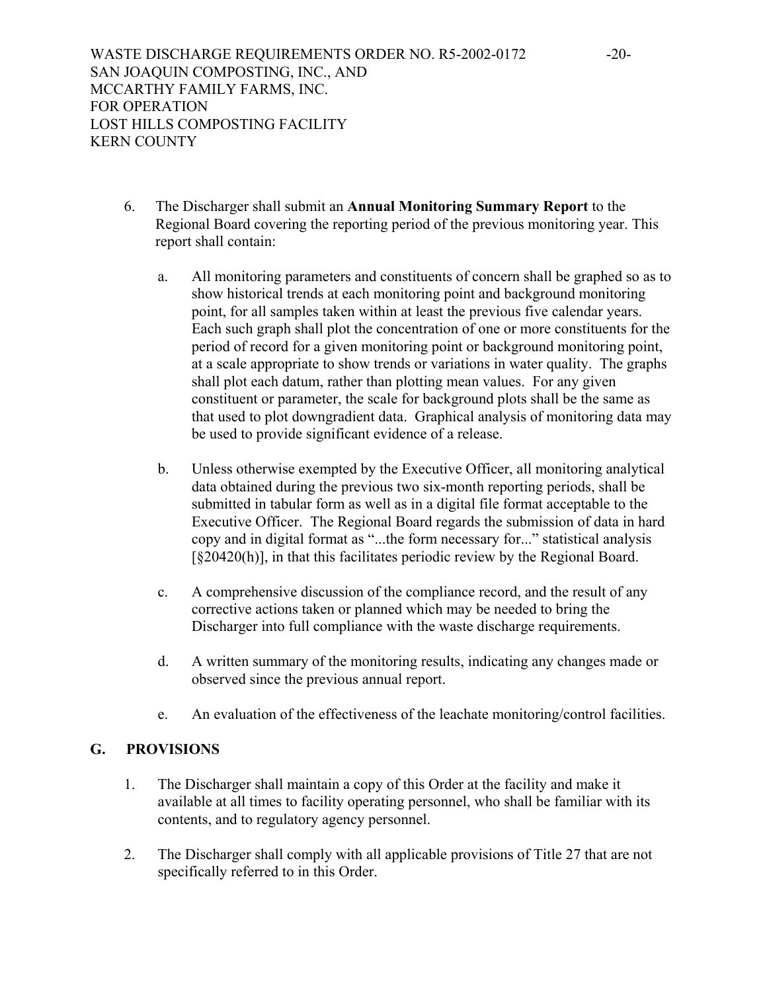- 6. The Discharger shall submit an **Annual Monitoring Summary Report** to the Regional Board covering the reporting period of the previous monitoring year. This report shall contain:
	- a. All monitoring parameters and constituents of concern shall be graphed so as to show historical trends at each monitoring point and background monitoring point, for all samples taken within at least the previous five calendar years. Each such graph shall plot the concentration of one or more constituents for the period of record for a given monitoring point or background monitoring point, at a scale appropriate to show trends or variations in water quality. The graphs shall plot each datum, rather than plotting mean values. For any given constituent or parameter, the scale for background plots shall be the same as that used to plot downgradient data. Graphical analysis of monitoring data may be used to provide significant evidence of a release.
	- b. Unless otherwise exempted by the Executive Officer, all monitoring analytical data obtained during the previous two six-month reporting periods, shall be submitted in tabular form as well as in a digital file format acceptable to the Executive Officer. The Regional Board regards the submission of data in hard copy and in digital format as "...the form necessary for..." statistical analysis [§20420(h)], in that this facilitates periodic review by the Regional Board.
	- c. A comprehensive discussion of the compliance record, and the result of any corrective actions taken or planned which may be needed to bring the Discharger into full compliance with the waste discharge requirements.
	- d. A written summary of the monitoring results, indicating any changes made or observed since the previous annual report.
	- e. An evaluation of the effectiveness of the leachate monitoring/control facilities.

# **G. PROVISIONS**

- 1. The Discharger shall maintain a copy of this Order at the facility and make it available at all times to facility operating personnel, who shall be familiar with its contents, and to regulatory agency personnel.
- 2. The Discharger shall comply with all applicable provisions of Title 27 that are not specifically referred to in this Order.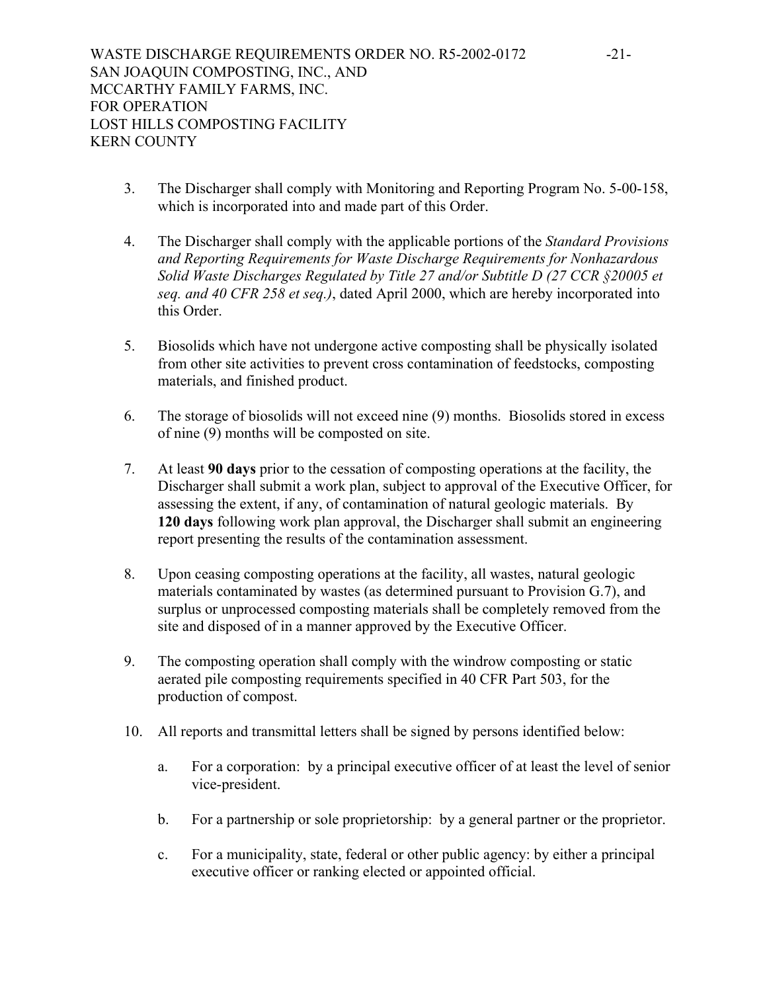- 3. The Discharger shall comply with Monitoring and Reporting Program No. 5-00-158, which is incorporated into and made part of this Order.
- 4. The Discharger shall comply with the applicable portions of the *Standard Provisions and Reporting Requirements for Waste Discharge Requirements for Nonhazardous Solid Waste Discharges Regulated by Title 27 and/or Subtitle D (27 CCR §20005 et seq. and 40 CFR 258 et seq.)*, dated April 2000, which are hereby incorporated into this Order.
- 5. Biosolids which have not undergone active composting shall be physically isolated from other site activities to prevent cross contamination of feedstocks, composting materials, and finished product.
- 6. The storage of biosolids will not exceed nine (9) months. Biosolids stored in excess of nine (9) months will be composted on site.
- 7. At least **90 days** prior to the cessation of composting operations at the facility, the Discharger shall submit a work plan, subject to approval of the Executive Officer, for assessing the extent, if any, of contamination of natural geologic materials. By **120 days** following work plan approval, the Discharger shall submit an engineering report presenting the results of the contamination assessment.
- 8. Upon ceasing composting operations at the facility, all wastes, natural geologic materials contaminated by wastes (as determined pursuant to Provision G.7), and surplus or unprocessed composting materials shall be completely removed from the site and disposed of in a manner approved by the Executive Officer.
- 9. The composting operation shall comply with the windrow composting or static aerated pile composting requirements specified in 40 CFR Part 503, for the production of compost.
- 10. All reports and transmittal letters shall be signed by persons identified below:
	- a. For a corporation: by a principal executive officer of at least the level of senior vice-president.
	- b. For a partnership or sole proprietorship: by a general partner or the proprietor.
	- c. For a municipality, state, federal or other public agency: by either a principal executive officer or ranking elected or appointed official.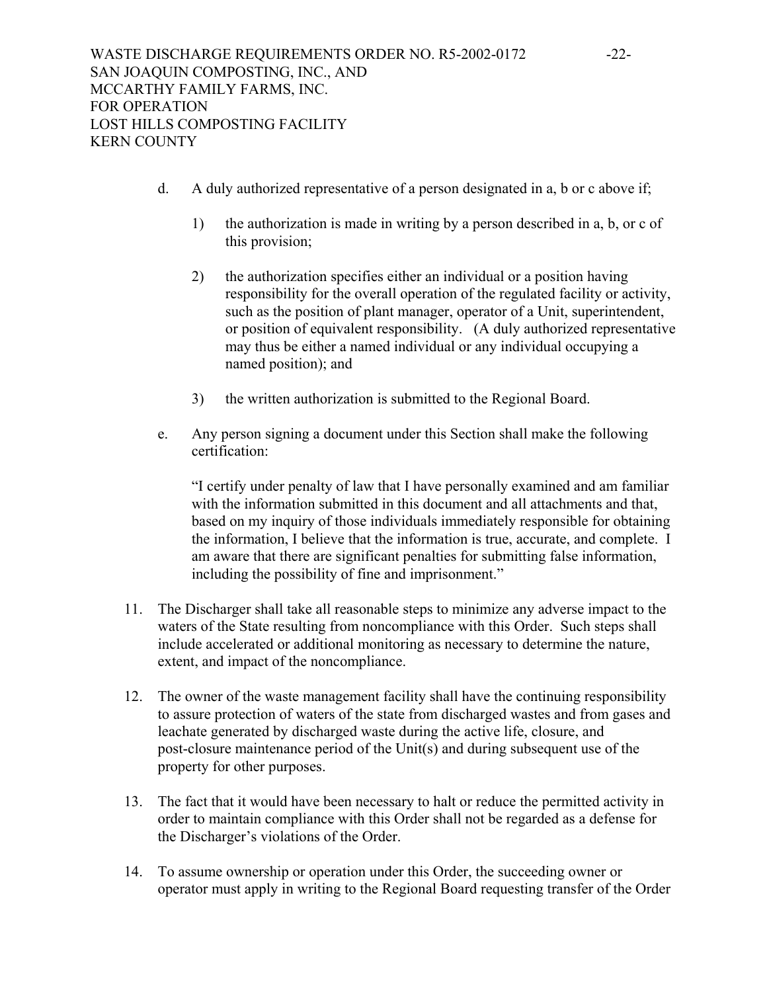- d. A duly authorized representative of a person designated in a, b or c above if;
	- 1) the authorization is made in writing by a person described in a, b, or c of this provision;
	- 2) the authorization specifies either an individual or a position having responsibility for the overall operation of the regulated facility or activity, such as the position of plant manager, operator of a Unit, superintendent, or position of equivalent responsibility. (A duly authorized representative may thus be either a named individual or any individual occupying a named position); and
	- 3) the written authorization is submitted to the Regional Board.
- e. Any person signing a document under this Section shall make the following certification:

"I certify under penalty of law that I have personally examined and am familiar with the information submitted in this document and all attachments and that, based on my inquiry of those individuals immediately responsible for obtaining the information, I believe that the information is true, accurate, and complete. I am aware that there are significant penalties for submitting false information, including the possibility of fine and imprisonment."

- 11. The Discharger shall take all reasonable steps to minimize any adverse impact to the waters of the State resulting from noncompliance with this Order. Such steps shall include accelerated or additional monitoring as necessary to determine the nature, extent, and impact of the noncompliance.
- 12. The owner of the waste management facility shall have the continuing responsibility to assure protection of waters of the state from discharged wastes and from gases and leachate generated by discharged waste during the active life, closure, and post-closure maintenance period of the Unit(s) and during subsequent use of the property for other purposes.
- 13. The fact that it would have been necessary to halt or reduce the permitted activity in order to maintain compliance with this Order shall not be regarded as a defense for the Discharger's violations of the Order.
- 14. To assume ownership or operation under this Order, the succeeding owner or operator must apply in writing to the Regional Board requesting transfer of the Order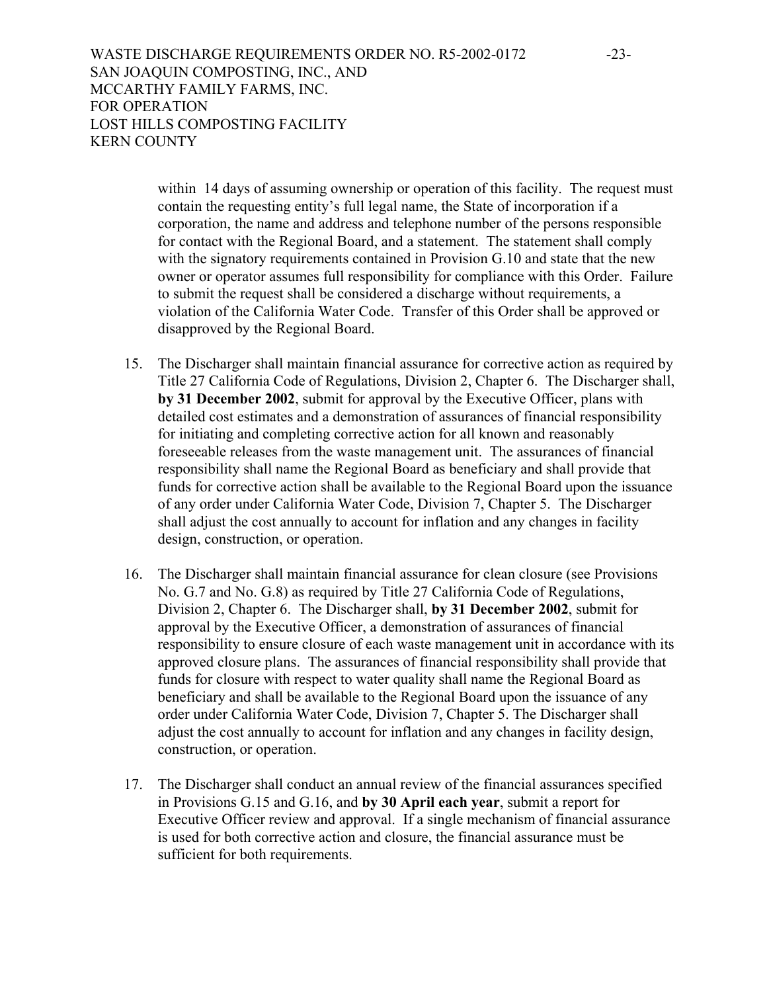WASTE DISCHARGE REQUIREMENTS ORDER NO. R5-2002-0172 -23-SAN JOAQUIN COMPOSTING, INC., AND MCCARTHY FAMILY FARMS, INC. FOR OPERATION LOST HILLS COMPOSTING FACILITY KERN COUNTY

> within 14 days of assuming ownership or operation of this facility. The request must contain the requesting entity's full legal name, the State of incorporation if a corporation, the name and address and telephone number of the persons responsible for contact with the Regional Board, and a statement. The statement shall comply with the signatory requirements contained in Provision G.10 and state that the new owner or operator assumes full responsibility for compliance with this Order. Failure to submit the request shall be considered a discharge without requirements, a violation of the California Water Code. Transfer of this Order shall be approved or disapproved by the Regional Board.

- 15. The Discharger shall maintain financial assurance for corrective action as required by Title 27 California Code of Regulations, Division 2, Chapter 6. The Discharger shall, **by 31 December 2002**, submit for approval by the Executive Officer, plans with detailed cost estimates and a demonstration of assurances of financial responsibility for initiating and completing corrective action for all known and reasonably foreseeable releases from the waste management unit. The assurances of financial responsibility shall name the Regional Board as beneficiary and shall provide that funds for corrective action shall be available to the Regional Board upon the issuance of any order under California Water Code, Division 7, Chapter 5. The Discharger shall adjust the cost annually to account for inflation and any changes in facility design, construction, or operation.
- 16. The Discharger shall maintain financial assurance for clean closure (see Provisions No. G.7 and No. G.8) as required by Title 27 California Code of Regulations, Division 2, Chapter 6. The Discharger shall, **by 31 December 2002**, submit for approval by the Executive Officer, a demonstration of assurances of financial responsibility to ensure closure of each waste management unit in accordance with its approved closure plans. The assurances of financial responsibility shall provide that funds for closure with respect to water quality shall name the Regional Board as beneficiary and shall be available to the Regional Board upon the issuance of any order under California Water Code, Division 7, Chapter 5. The Discharger shall adjust the cost annually to account for inflation and any changes in facility design, construction, or operation.
- 17. The Discharger shall conduct an annual review of the financial assurances specified in Provisions G.15 and G.16, and **by 30 April each year**, submit a report for Executive Officer review and approval. If a single mechanism of financial assurance is used for both corrective action and closure, the financial assurance must be sufficient for both requirements.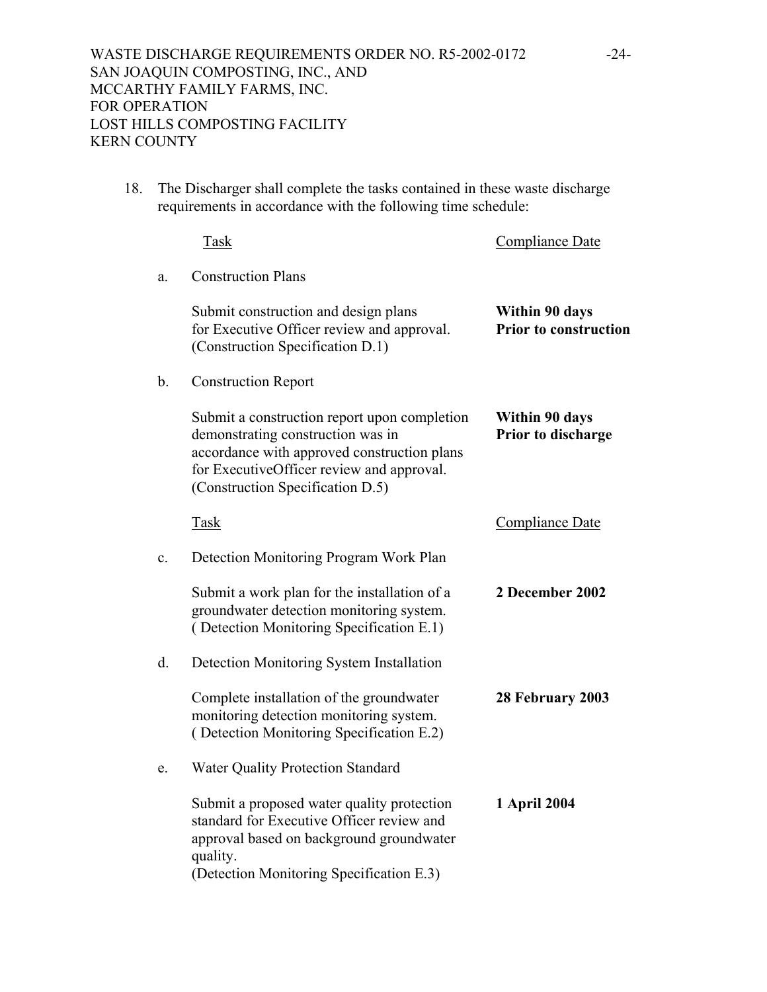18. The Discharger shall complete the tasks contained in these waste discharge requirements in accordance with the following time schedule:

|                | <b>Task</b>                                                                                                                                                                                                       | <b>Compliance Date</b>                         |
|----------------|-------------------------------------------------------------------------------------------------------------------------------------------------------------------------------------------------------------------|------------------------------------------------|
| a.             | <b>Construction Plans</b>                                                                                                                                                                                         |                                                |
|                | Submit construction and design plans<br>for Executive Officer review and approval.<br>(Construction Specification D.1)                                                                                            | Within 90 days<br><b>Prior to construction</b> |
| b.             | <b>Construction Report</b>                                                                                                                                                                                        |                                                |
|                | Submit a construction report upon completion<br>demonstrating construction was in<br>accordance with approved construction plans<br>for ExecutiveOfficer review and approval.<br>(Construction Specification D.5) | Within 90 days<br>Prior to discharge           |
|                | <b>Task</b>                                                                                                                                                                                                       | <b>Compliance Date</b>                         |
| $\mathbf{c}$ . | Detection Monitoring Program Work Plan                                                                                                                                                                            |                                                |
|                | Submit a work plan for the installation of a<br>groundwater detection monitoring system.<br>(Detection Monitoring Specification E.1)                                                                              | 2 December 2002                                |
| d.             | Detection Monitoring System Installation                                                                                                                                                                          |                                                |
|                | Complete installation of the groundwater<br>monitoring detection monitoring system.<br>(Detection Monitoring Specification E.2)                                                                                   | 28 February 2003                               |
| e.             | <b>Water Quality Protection Standard</b>                                                                                                                                                                          |                                                |
|                | Submit a proposed water quality protection<br>standard for Executive Officer review and<br>approval based on background groundwater<br>quality.<br>(Detection Monitoring Specification E.3)                       | 1 April 2004                                   |
|                |                                                                                                                                                                                                                   |                                                |